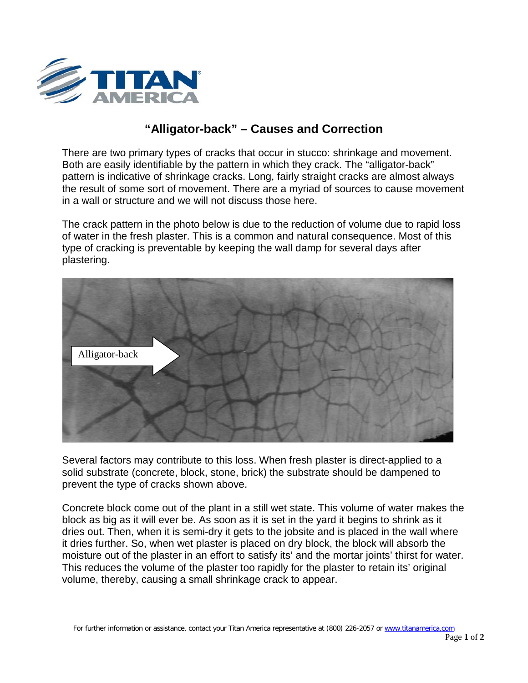

## **"Alligator-back" – Causes and Correction**

There are two primary types of cracks that occur in stucco: shrinkage and movement. Both are easily identifiable by the pattern in which they crack. The "alligator-back" pattern is indicative of shrinkage cracks. Long, fairly straight cracks are almost always the result of some sort of movement. There are a myriad of sources to cause movement in a wall or structure and we will not discuss those here.

The crack pattern in the photo below is due to the reduction of volume due to rapid loss of water in the fresh plaster. This is a common and natural consequence. Most of this type of cracking is preventable by keeping the wall damp for several days after plastering.



Several factors may contribute to this loss. When fresh plaster is direct-applied to a solid substrate (concrete, block, stone, brick) the substrate should be dampened to prevent the type of cracks shown above.

Concrete block come out of the plant in a still wet state. This volume of water makes the block as big as it will ever be. As soon as it is set in the yard it begins to shrink as it dries out. Then, when it is semi-dry it gets to the jobsite and is placed in the wall where it dries further. So, when wet plaster is placed on dry block, the block will absorb the moisture out of the plaster in an effort to satisfy its' and the mortar joints' thirst for water. This reduces the volume of the plaster too rapidly for the plaster to retain its' original volume, thereby, causing a small shrinkage crack to appear.